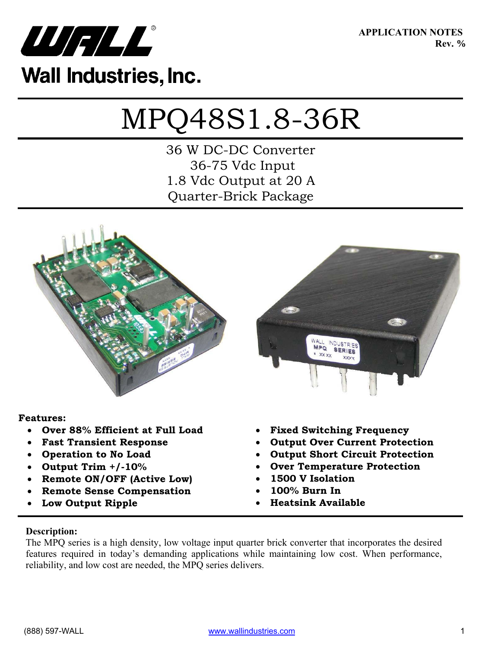

**APPLICATION NOTES Rev. D** 

# MPQ48S1.8-36R

36 W DC-DC Converter 36-75 Vdc Input 1.8 Vdc Output at 20 A Quarter-Brick Package





#### **Features:**

- x **Over 88% Efficient at Full Load**
- **Fast Transient Response**
- **Operation to No Load**
- x **Output Trim +/-10%**
- x **Remote ON/OFF (Active Low)**
- x **Remote Sense Compensation**
- Low Output Ripple
- x **Fixed Switching Frequency**
- **Output Over Current Protection**
- x **Output Short Circuit Protection**
- **Over Temperature Protection**
- x **1500 V Isolation**
- x **100% Burn In**
- x **Heatsink Available**

#### **Description:**

The MPQ series is a high density, low voltage input quarter brick converter that incorporates the desired features required in today's demanding applications while maintaining low cost. When performance, reliability, and low cost are needed, the MPQ series delivers.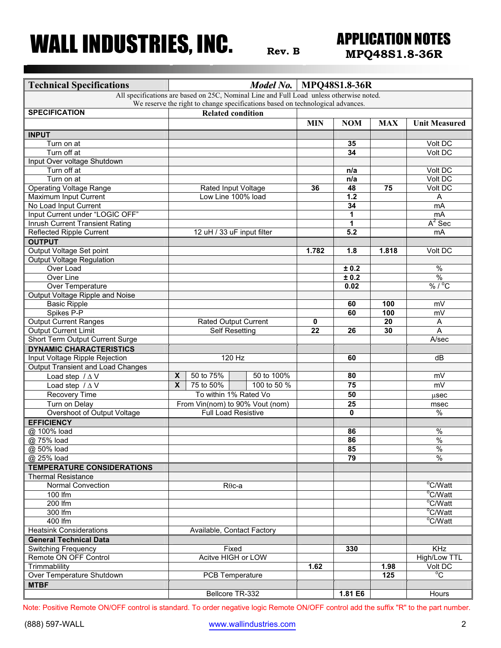## **Rev. B MPQ48S1.8-36R**

| <b>Technical Specifications</b>                                                |                         |                                    | <b>Model No.   MPQ48S1.8-36R</b>                                                        |            |                 |            |                          |  |
|--------------------------------------------------------------------------------|-------------------------|------------------------------------|-----------------------------------------------------------------------------------------|------------|-----------------|------------|--------------------------|--|
|                                                                                |                         |                                    | All specifications are based on 25C, Nominal Line and Full Load unless otherwise noted. |            |                 |            |                          |  |
| We reserve the right to change specifications based on technological advances. |                         |                                    |                                                                                         |            |                 |            |                          |  |
| <b>SPECIFICATION</b>                                                           |                         | <b>Related condition</b>           |                                                                                         |            |                 |            |                          |  |
|                                                                                |                         |                                    |                                                                                         | <b>MIN</b> | <b>NOM</b>      | <b>MAX</b> | <b>Unit Measured</b>     |  |
| <b>INPUT</b>                                                                   |                         |                                    |                                                                                         |            |                 |            |                          |  |
| Turn on at                                                                     |                         |                                    |                                                                                         |            | 35              |            | Volt DC                  |  |
| Turn off at                                                                    |                         |                                    |                                                                                         |            | 34              |            | Volt DC                  |  |
| Input Over voltage Shutdown                                                    |                         |                                    |                                                                                         |            |                 |            |                          |  |
| Turn off at                                                                    |                         |                                    |                                                                                         |            | n/a             |            | Volt DC                  |  |
| Turn on at                                                                     |                         |                                    |                                                                                         |            | n/a             |            | Volt DC                  |  |
| <b>Operating Voltage Range</b>                                                 |                         | Rated Input Voltage                |                                                                                         | 36         | 48              | 75         | Volt DC                  |  |
| Maximum Input Current                                                          |                         | Low Line 100% load                 |                                                                                         |            | $1.2$           |            | Α                        |  |
| No Load Input Current                                                          |                         |                                    |                                                                                         |            | $\overline{34}$ |            | mA                       |  |
| Input Current under "LOGIC OFF"                                                |                         |                                    |                                                                                         |            | 1               |            | mA                       |  |
| <b>Inrush Current Transient Rating</b>                                         |                         |                                    |                                                                                         |            | 1               |            | $A^2$ Sec                |  |
| <b>Reflected Ripple Current</b>                                                |                         | 12 uH / 33 uF input filter         |                                                                                         |            | 5.2             |            | mA                       |  |
| <b>OUTPUT</b>                                                                  |                         |                                    |                                                                                         |            |                 |            |                          |  |
| Output Voltage Set point                                                       |                         |                                    |                                                                                         | 1.782      | 1.8             | 1.818      | Volt DC                  |  |
| <b>Output Voltage Regulation</b>                                               |                         |                                    |                                                                                         |            |                 |            |                          |  |
| Over Load                                                                      |                         |                                    |                                                                                         |            | ± 0.2           |            | $\overline{\frac{9}{6}}$ |  |
| Over Line                                                                      |                         |                                    |                                                                                         |            | ± 0.2           |            | $\overline{\frac{0}{0}}$ |  |
| <b>Over Temperature</b>                                                        |                         |                                    |                                                                                         |            | 0.02            |            | $\sqrt[9]{6/^0C}$        |  |
| Output Voltage Ripple and Noise                                                |                         |                                    |                                                                                         |            |                 |            |                          |  |
| <b>Basic Ripple</b>                                                            |                         |                                    |                                                                                         |            | 60              | 100        | mV                       |  |
| Spikes P-P                                                                     |                         |                                    |                                                                                         |            | 60              | 100        | mV                       |  |
| <b>Output Current Ranges</b>                                                   |                         | <b>Rated Output Current</b>        |                                                                                         | 0          |                 | 20         | Α                        |  |
| <b>Output Current Limit</b>                                                    |                         | <b>Self Resetting</b>              |                                                                                         | 22         | 26              | 30         | A                        |  |
| Short Term Output Current Surge                                                |                         |                                    |                                                                                         |            |                 |            | A/sec                    |  |
| <b>DYNAMIC CHARACTERISTICS</b>                                                 |                         |                                    |                                                                                         |            |                 |            |                          |  |
| Input Voltage Ripple Rejection                                                 |                         | 120 Hz                             |                                                                                         |            | 60              |            | dB                       |  |
| Output Transient and Load Changes                                              |                         |                                    |                                                                                         |            |                 |            |                          |  |
| Load step $/\Delta V$                                                          | X                       | 50 to 75%                          | 50 to 100%                                                                              |            | 80              |            | mV                       |  |
| Load step $/\Delta V$                                                          | $\overline{\mathbf{x}}$ | 75 to 50%                          | 100 to 50 %                                                                             |            | 75              |            | mV                       |  |
| <b>Recovery Time</b>                                                           |                         | To within 1% Rated Vo              |                                                                                         |            | 50              |            | usec                     |  |
| Turn on Delay                                                                  |                         |                                    | From Vin(nom) to 90% Vout (nom)                                                         |            | $\overline{25}$ |            | msec                     |  |
| Overshoot of Output Voltage                                                    |                         | <b>Full Load Resistive</b>         |                                                                                         |            | $\bf{0}$        |            | $\%$                     |  |
| <b>EFFICIENCY</b>                                                              |                         |                                    |                                                                                         |            |                 |            |                          |  |
| @ 100% load                                                                    |                         |                                    |                                                                                         |            | 86              |            | $\%$                     |  |
| @ 75% load                                                                     |                         |                                    |                                                                                         |            | 86              |            | $\frac{9}{6}$            |  |
| @ 50% load                                                                     |                         |                                    |                                                                                         |            | 85              |            | $\frac{9}{6}$            |  |
| @ 25% load                                                                     |                         |                                    |                                                                                         |            | 79              |            | $\frac{1}{2}$            |  |
|                                                                                |                         |                                    |                                                                                         |            |                 |            |                          |  |
| <b>TEMPERATURE CONSIDERATIONS</b>                                              |                         |                                    |                                                                                         |            |                 |            |                          |  |
| <b>Thermal Resistance</b><br><b>Normal Convection</b>                          |                         |                                    |                                                                                         |            |                 |            | °C/Watt                  |  |
|                                                                                |                         | $R\theta$ c-a                      |                                                                                         |            |                 |            |                          |  |
| 100 $\overline{\text{fm}}$                                                     |                         |                                    |                                                                                         |            |                 |            | °C/Watt<br>°C/Watt       |  |
| 200 lfm                                                                        |                         |                                    |                                                                                         |            |                 |            |                          |  |
| 300 Ifm                                                                        |                         |                                    |                                                                                         |            |                 |            | °C/Watt                  |  |
| 400 lfm                                                                        |                         |                                    |                                                                                         |            |                 |            | $\overline{°C/W}$ att    |  |
| <b>Heatsink Considerations</b>                                                 |                         |                                    | Available, Contact Factory                                                              |            |                 |            |                          |  |
| <b>General Technical Data</b>                                                  |                         |                                    |                                                                                         |            |                 |            |                          |  |
| <b>Switching Frequency</b>                                                     |                         | Fixed<br><b>Acitve HIGH or LOW</b> |                                                                                         |            | 330             |            | $\overline{KHz}$         |  |
| Remote ON OFF Control                                                          |                         |                                    |                                                                                         |            |                 |            | High/Low TTL             |  |
| Trimmablility                                                                  |                         |                                    |                                                                                         | 1.62       |                 | 1.98       | Volt DC                  |  |
| Over Temperature Shutdown                                                      |                         |                                    | PCB Temperature                                                                         |            |                 | 125        | $\overline{C}$           |  |
| <b>MTBF</b>                                                                    |                         |                                    |                                                                                         |            |                 |            |                          |  |
|                                                                                |                         |                                    | Bellcore TR-332                                                                         |            | 1.81 E6         |            | Hours                    |  |

Note: Positive Remote ON/OFF control is standard. To order negative logic Remote ON/OFF control add the suffix "R" to the part number.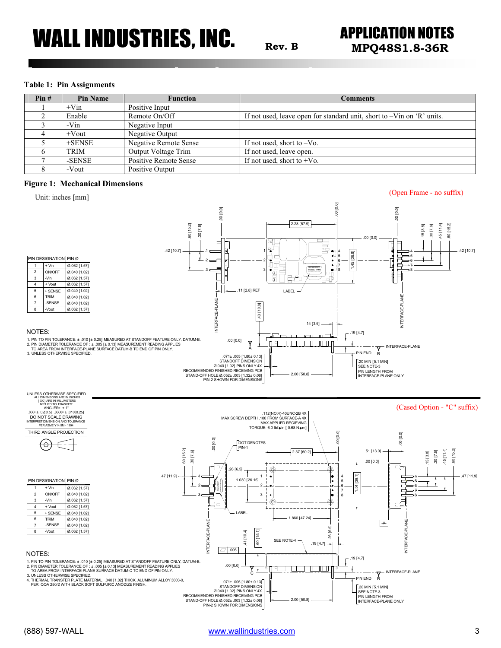### **Rev. B MPQ48S1.8-36R**

#### **Table 1: Pin Assignments**

| Pin# | <b>Pin Name</b> | <b>Function</b>              | Comments                                                                  |
|------|-----------------|------------------------------|---------------------------------------------------------------------------|
|      | $+V$ in         | Positive Input               |                                                                           |
|      | Enable          | Remote On/Off                | If not used, leave open for standard unit, short to $-V$ in on 'R' units. |
|      | $-Vin$          | Negative Input               |                                                                           |
|      | $+$ Vout        | Negative Output              |                                                                           |
|      | $+$ SENSE       | <b>Negative Remote Sense</b> | If not used, short to $-V_0$ .                                            |
|      | TRIM            | Output Voltage Trim          | If not used, leave open.                                                  |
|      | -SENSE          | <b>Positive Remote Sense</b> | If not used, short to $+V_0$ .                                            |
|      | -Vout           | Positive Output              |                                                                           |

#### **Figure 1: Mechanical Dimensions**

Unit: inches [mm]

(Open Frame - no suffix)

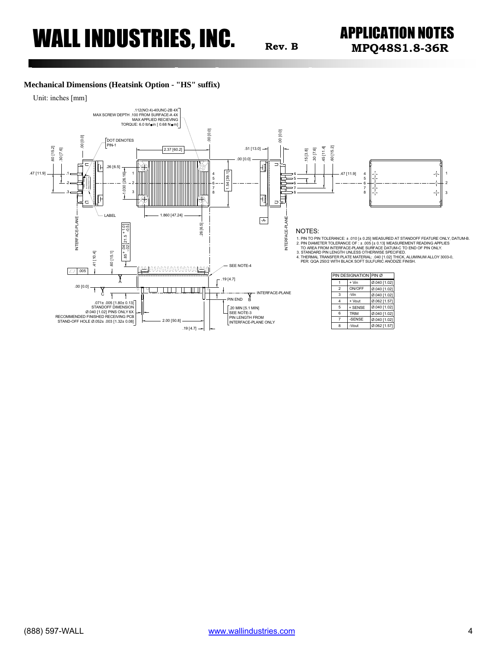### **Rev. B MPQ48S1.8-36R**

#### **Mechanical Dimensions (Heatsink Option - "HS" suffix)**



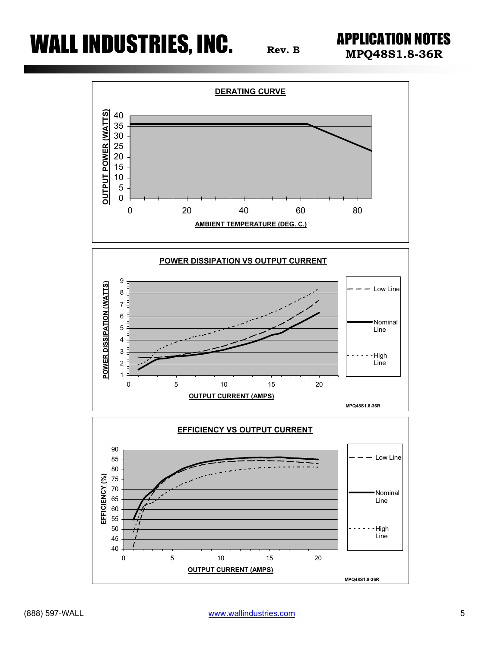**MPQ48S1.8-36R Rev. <sup>B</sup>**





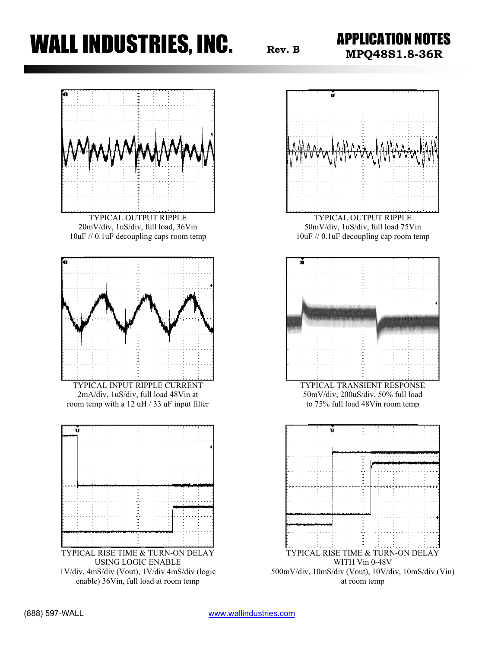### **WALL INDUSTRIES, INC.**  $R_{\text{rev. B}}$  **APPLICATION NOTES**





WITH Vin 0-48V 500mV/div, 10mS/div (Vout), 10V/div, 10mS/div (Vin) at room temp